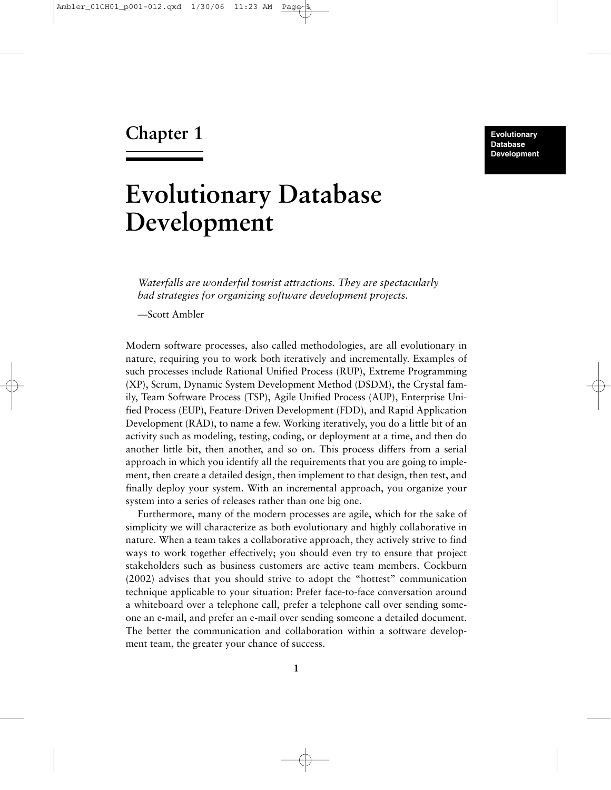# **Chapter 1**

**Evolutionary Database Development**

# **Evolutionary Database Development**

*Waterfalls are wonderful tourist attractions. They are spectacularly bad strategies for organizing software development projects.*

—Scott Ambler

Modern software processes, also called methodologies, are all evolutionary in nature, requiring you to work both iteratively and incrementally. Examples of such processes include Rational Unified Process (RUP), Extreme Programming (XP), Scrum, Dynamic System Development Method (DSDM), the Crystal family, Team Software Process (TSP), Agile Unified Process (AUP), Enterprise Unified Process (EUP), Feature-Driven Development (FDD), and Rapid Application Development (RAD), to name a few. Working iteratively, you do a little bit of an activity such as modeling, testing, coding, or deployment at a time, and then do another little bit, then another, and so on. This process differs from a serial approach in which you identify all the requirements that you are going to implement, then create a detailed design, then implement to that design, then test, and finally deploy your system. With an incremental approach, you organize your system into a series of releases rather than one big one.

Furthermore, many of the modern processes are agile, which for the sake of simplicity we will characterize as both evolutionary and highly collaborative in nature. When a team takes a collaborative approach, they actively strive to find ways to work together effectively; you should even try to ensure that project stakeholders such as business customers are active team members. Cockburn (2002) advises that you should strive to adopt the "hottest" communication technique applicable to your situation: Prefer face-to-face conversation around a whiteboard over a telephone call, prefer a telephone call over sending someone an e-mail, and prefer an e-mail over sending someone a detailed document. The better the communication and collaboration within a software development team, the greater your chance of success.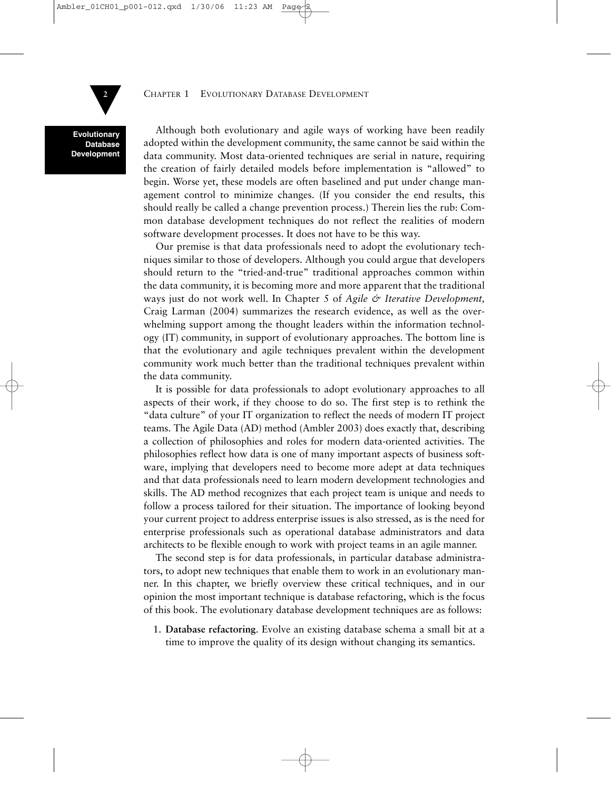

**Evolutionary Database Development**

#### **2** CHAPTER 1 EVOLUTIONARY DATABASE DEVELOPMENT

Although both evolutionary and agile ways of working have been readily adopted within the development community, the same cannot be said within the data community. Most data-oriented techniques are serial in nature, requiring the creation of fairly detailed models before implementation is "allowed" to begin. Worse yet, these models are often baselined and put under change management control to minimize changes. (If you consider the end results, this should really be called a change prevention process.) Therein lies the rub: Common database development techniques do not reflect the realities of modern software development processes. It does not have to be this way.

Our premise is that data professionals need to adopt the evolutionary techniques similar to those of developers. Although you could argue that developers should return to the "tried-and-true" traditional approaches common within the data community, it is becoming more and more apparent that the traditional ways just do not work well. In Chapter 5 of *Agile & Iterative Development,* Craig Larman (2004) summarizes the research evidence, as well as the overwhelming support among the thought leaders within the information technology (IT) community, in support of evolutionary approaches. The bottom line is that the evolutionary and agile techniques prevalent within the development community work much better than the traditional techniques prevalent within the data community.

It is possible for data professionals to adopt evolutionary approaches to all aspects of their work, if they choose to do so. The first step is to rethink the "data culture" of your IT organization to reflect the needs of modern IT project teams. The Agile Data (AD) method (Ambler 2003) does exactly that, describing a collection of philosophies and roles for modern data-oriented activities. The philosophies reflect how data is one of many important aspects of business software, implying that developers need to become more adept at data techniques and that data professionals need to learn modern development technologies and skills. The AD method recognizes that each project team is unique and needs to follow a process tailored for their situation. The importance of looking beyond your current project to address enterprise issues is also stressed, as is the need for enterprise professionals such as operational database administrators and data architects to be flexible enough to work with project teams in an agile manner.

The second step is for data professionals, in particular database administrators, to adopt new techniques that enable them to work in an evolutionary manner. In this chapter, we briefly overview these critical techniques, and in our opinion the most important technique is database refactoring, which is the focus of this book. The evolutionary database development techniques are as follows:

1. **Database refactoring**. Evolve an existing database schema a small bit at a time to improve the quality of its design without changing its semantics.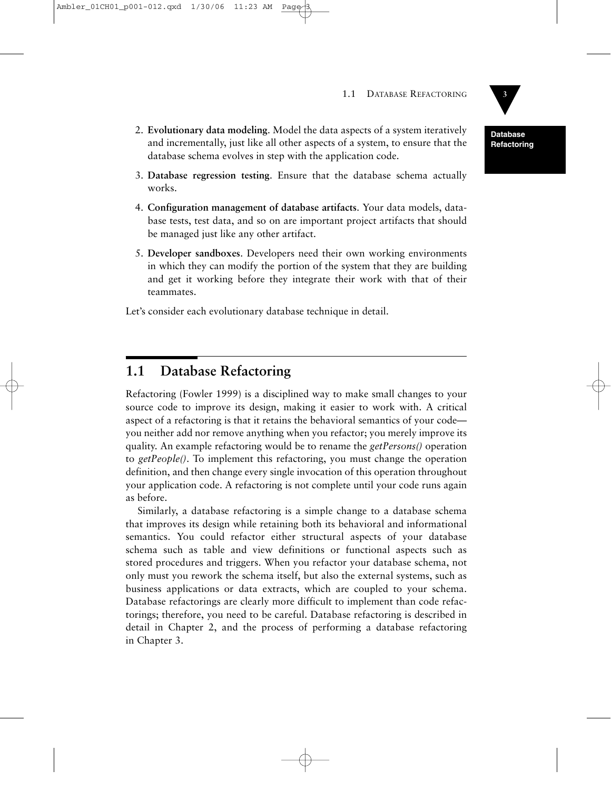### 1.1 DATABASE REFACTORING **3**

- 2. **Evolutionary data modeling**. Model the data aspects of a system iteratively and incrementally, just like all other aspects of a system, to ensure that the database schema evolves in step with the application code.
- 3. **Database regression testing**. Ensure that the database schema actually works.
- 4. **Configuration management of database artifacts**. Your data models, database tests, test data, and so on are important project artifacts that should be managed just like any other artifact.
- 5. **Developer sandboxes**. Developers need their own working environments in which they can modify the portion of the system that they are building and get it working before they integrate their work with that of their teammates.

Let's consider each evolutionary database technique in detail.

# **1.1 Database Refactoring**

Refactoring (Fowler 1999) is a disciplined way to make small changes to your source code to improve its design, making it easier to work with. A critical aspect of a refactoring is that it retains the behavioral semantics of your code you neither add nor remove anything when you refactor; you merely improve its quality. An example refactoring would be to rename the *getPersons()* operation to *getPeople()*. To implement this refactoring, you must change the operation definition, and then change every single invocation of this operation throughout your application code. A refactoring is not complete until your code runs again as before.

Similarly, a database refactoring is a simple change to a database schema that improves its design while retaining both its behavioral and informational semantics. You could refactor either structural aspects of your database schema such as table and view definitions or functional aspects such as stored procedures and triggers. When you refactor your database schema, not only must you rework the schema itself, but also the external systems, such as business applications or data extracts, which are coupled to your schema. Database refactorings are clearly more difficult to implement than code refactorings; therefore, you need to be careful. Database refactoring is described in detail in Chapter 2, and the process of performing a database refactoring in Chapter 3.

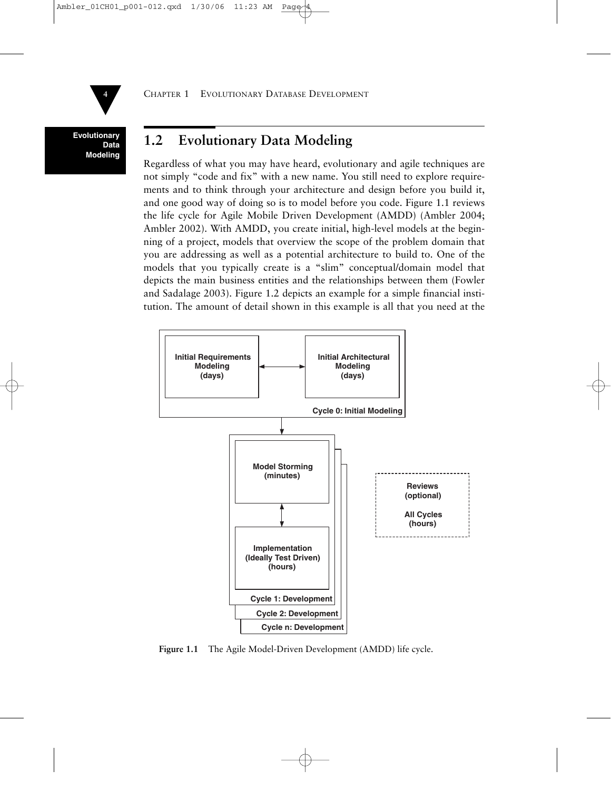

**Evolutionary Data Modeling**

## **1.2 Evolutionary Data Modeling**

Regardless of what you may have heard, evolutionary and agile techniques are not simply "code and fix" with a new name. You still need to explore requirements and to think through your architecture and design before you build it, and one good way of doing so is to model before you code. Figure 1.1 reviews the life cycle for Agile Mobile Driven Development (AMDD) (Ambler 2004; Ambler 2002). With AMDD, you create initial, high-level models at the beginning of a project, models that overview the scope of the problem domain that you are addressing as well as a potential architecture to build to. One of the models that you typically create is a "slim" conceptual/domain model that depicts the main business entities and the relationships between them (Fowler and Sadalage 2003). Figure 1.2 depicts an example for a simple financial institution. The amount of detail shown in this example is all that you need at the



**Figure 1.1** The Agile Model-Driven Development (AMDD) life cycle.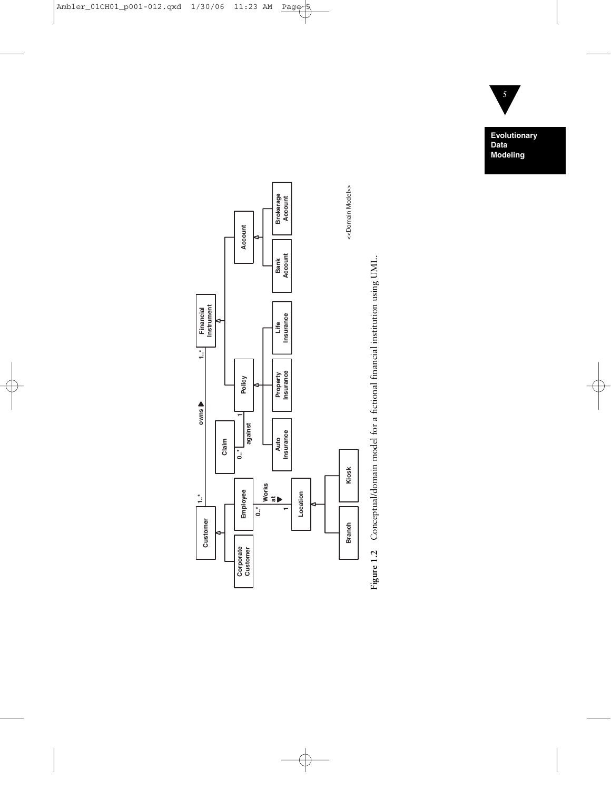

 $\phi$ 



 $\overline{\oplus}$ 

**Evolutionary Data** 

**Modeling**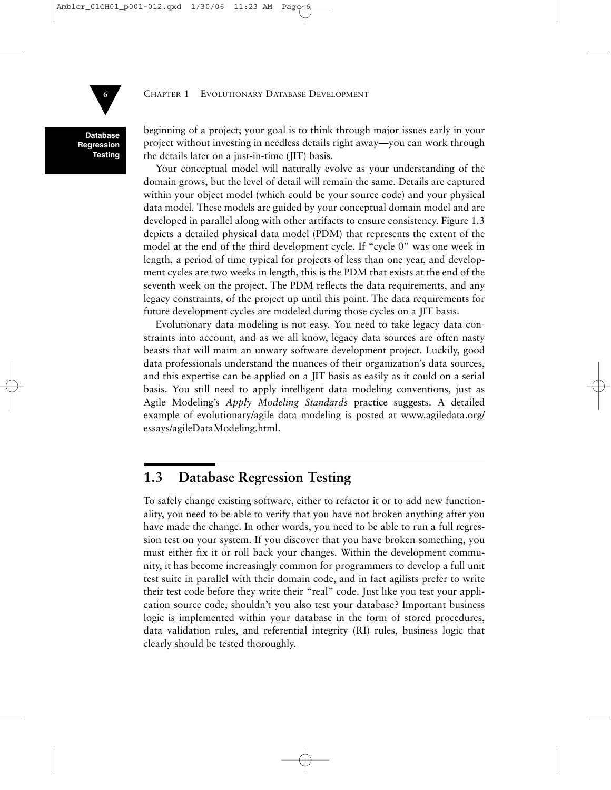

**Database Regression Testing** beginning of a project; your goal is to think through major issues early in your project without investing in needless details right away—you can work through the details later on a just-in-time (JIT) basis.

Your conceptual model will naturally evolve as your understanding of the domain grows, but the level of detail will remain the same. Details are captured within your object model (which could be your source code) and your physical data model. These models are guided by your conceptual domain model and are developed in parallel along with other artifacts to ensure consistency. Figure 1.3 depicts a detailed physical data model (PDM) that represents the extent of the model at the end of the third development cycle. If "cycle 0" was one week in length, a period of time typical for projects of less than one year, and development cycles are two weeks in length, this is the PDM that exists at the end of the seventh week on the project. The PDM reflects the data requirements, and any legacy constraints, of the project up until this point. The data requirements for future development cycles are modeled during those cycles on a JIT basis.

Evolutionary data modeling is not easy. You need to take legacy data constraints into account, and as we all know, legacy data sources are often nasty beasts that will maim an unwary software development project. Luckily, good data professionals understand the nuances of their organization's data sources, and this expertise can be applied on a JIT basis as easily as it could on a serial basis. You still need to apply intelligent data modeling conventions, just as Agile Modeling's *Apply Modeling Standards* practice suggests. A detailed example of evolutionary/agile data modeling is posted at www.agiledata.org/ essays/agileDataModeling.html.

### **1.3 Database Regression Testing**

To safely change existing software, either to refactor it or to add new functionality, you need to be able to verify that you have not broken anything after you have made the change. In other words, you need to be able to run a full regression test on your system. If you discover that you have broken something, you must either fix it or roll back your changes. Within the development community, it has become increasingly common for programmers to develop a full unit test suite in parallel with their domain code, and in fact agilists prefer to write their test code before they write their "real" code. Just like you test your application source code, shouldn't you also test your database? Important business logic is implemented within your database in the form of stored procedures, data validation rules, and referential integrity (RI) rules, business logic that clearly should be tested thoroughly.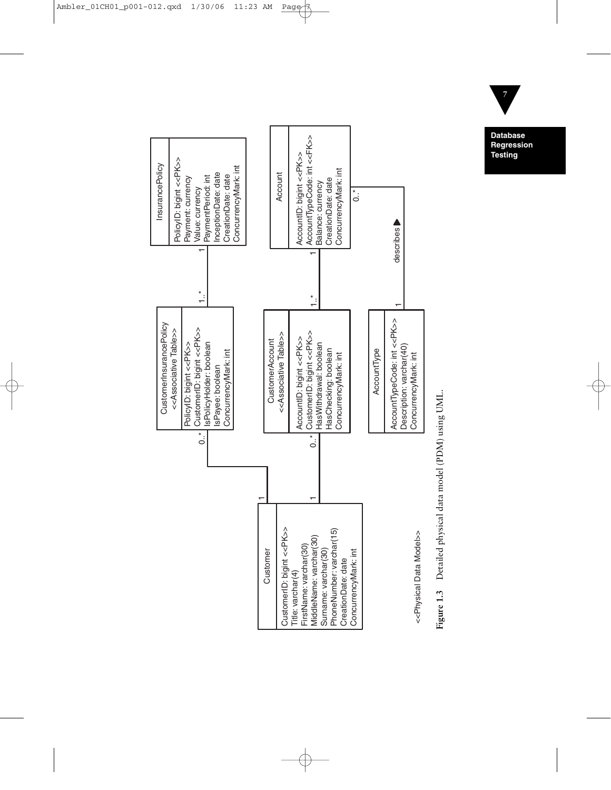



**Database Regression Testing**

**7**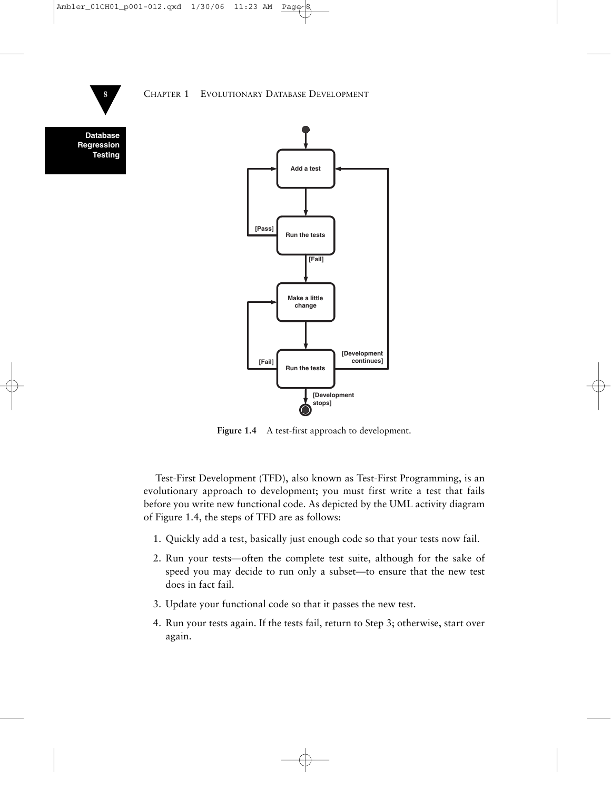

**Database Regression Testing**



Figure 1.4 A test-first approach to development.

Test-First Development (TFD), also known as Test-First Programming, is an evolutionary approach to development; you must first write a test that fails before you write new functional code. As depicted by the UML activity diagram of Figure 1.4, the steps of TFD are as follows:

- 1. Quickly add a test, basically just enough code so that your tests now fail.
- 2. Run your tests—often the complete test suite, although for the sake of speed you may decide to run only a subset—to ensure that the new test does in fact fail.
- 3. Update your functional code so that it passes the new test.
- 4. Run your tests again. If the tests fail, return to Step 3; otherwise, start over again.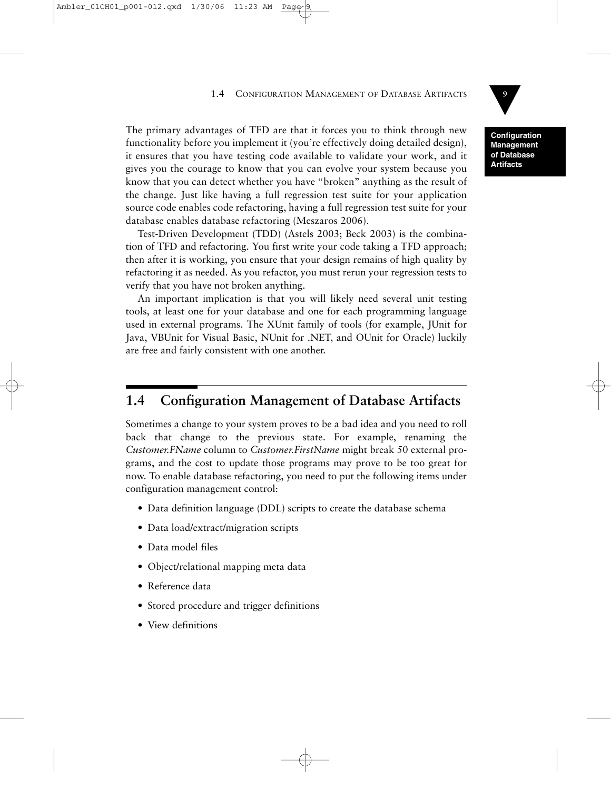#### 1.4 CONFIGURATION MANAGEMENT OF DATABASE ARTIFACTS **9**

The primary advantages of TFD are that it forces you to think through new functionality before you implement it (you're effectively doing detailed design), it ensures that you have testing code available to validate your work, and it gives you the courage to know that you can evolve your system because you know that you can detect whether you have "broken" anything as the result of the change. Just like having a full regression test suite for your application source code enables code refactoring, having a full regression test suite for your database enables database refactoring (Meszaros 2006).

Test-Driven Development (TDD) (Astels 2003; Beck 2003) is the combination of TFD and refactoring. You first write your code taking a TFD approach; then after it is working, you ensure that your design remains of high quality by refactoring it as needed. As you refactor, you must rerun your regression tests to verify that you have not broken anything.

An important implication is that you will likely need several unit testing tools, at least one for your database and one for each programming language used in external programs. The XUnit family of tools (for example, JUnit for Java, VBUnit for Visual Basic, NUnit for .NET, and OUnit for Oracle) luckily are free and fairly consistent with one another.

### **1.4 Configuration Management of Database Artifacts**

Sometimes a change to your system proves to be a bad idea and you need to roll back that change to the previous state. For example, renaming the *Customer.FName* column to *Customer.FirstName* might break 50 external programs, and the cost to update those programs may prove to be too great for now. To enable database refactoring, you need to put the following items under configuration management control:

- Data definition language (DDL) scripts to create the database schema
- Data load/extract/migration scripts
- Data model files
- Object/relational mapping meta data
- Reference data
- Stored procedure and trigger definitions
- View definitions

**Configuration Management of Database Artifacts**

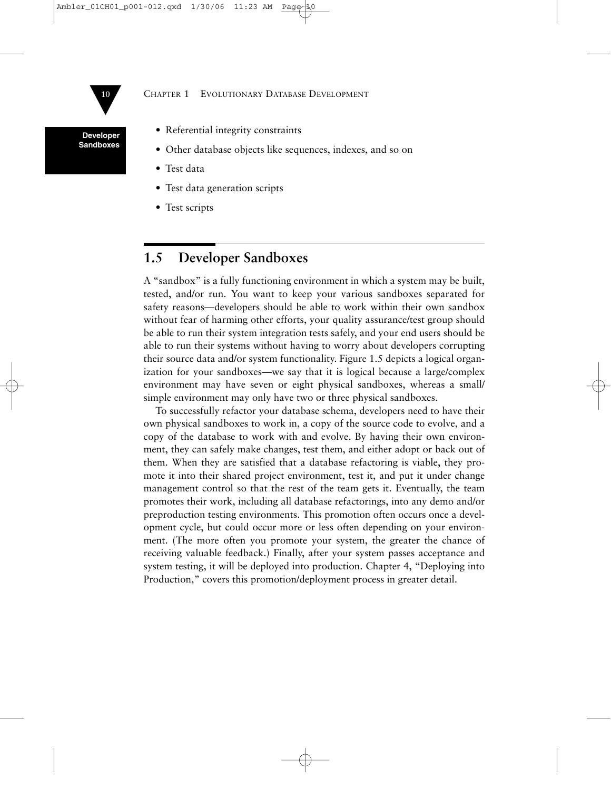

**Developer Sandboxes**

- Referential integrity constraints
- Other database objects like sequences, indexes, and so on
- Test data
- Test data generation scripts
- Test scripts

### **1.5 Developer Sandboxes**

A "sandbox" is a fully functioning environment in which a system may be built, tested, and/or run. You want to keep your various sandboxes separated for safety reasons—developers should be able to work within their own sandbox without fear of harming other efforts, your quality assurance/test group should be able to run their system integration tests safely, and your end users should be able to run their systems without having to worry about developers corrupting their source data and/or system functionality. Figure 1.5 depicts a logical organization for your sandboxes—we say that it is logical because a large/complex environment may have seven or eight physical sandboxes, whereas a small/ simple environment may only have two or three physical sandboxes.

To successfully refactor your database schema, developers need to have their own physical sandboxes to work in, a copy of the source code to evolve, and a copy of the database to work with and evolve. By having their own environment, they can safely make changes, test them, and either adopt or back out of them. When they are satisfied that a database refactoring is viable, they promote it into their shared project environment, test it, and put it under change management control so that the rest of the team gets it. Eventually, the team promotes their work, including all database refactorings, into any demo and/or preproduction testing environments. This promotion often occurs once a development cycle, but could occur more or less often depending on your environment. (The more often you promote your system, the greater the chance of receiving valuable feedback.) Finally, after your system passes acceptance and system testing, it will be deployed into production. Chapter 4, "Deploying into Production," covers this promotion/deployment process in greater detail.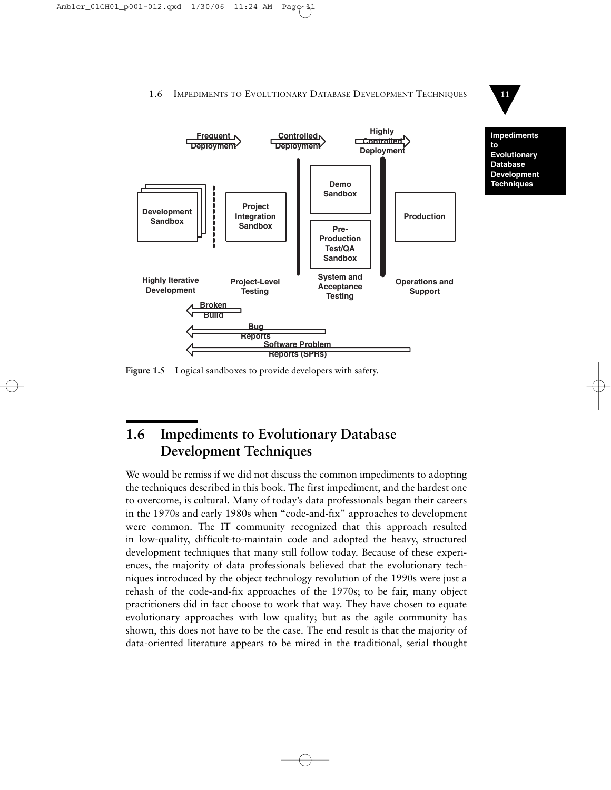

#### 1.6 IMPEDIMENTS TO EVOLUTIONARY DATABASE DEVELOPMENT TECHNIQUES **11**

**Figure 1.5** Logical sandboxes to provide developers with safety.

# **1.6 Impediments to Evolutionary Database Development Techniques**

We would be remiss if we did not discuss the common impediments to adopting the techniques described in this book. The first impediment, and the hardest one to overcome, is cultural. Many of today's data professionals began their careers in the 1970s and early 1980s when "code-and-fix" approaches to development were common. The IT community recognized that this approach resulted in low-quality, difficult-to-maintain code and adopted the heavy, structured development techniques that many still follow today. Because of these experiences, the majority of data professionals believed that the evolutionary techniques introduced by the object technology revolution of the 1990s were just a rehash of the code-and-fix approaches of the 1970s; to be fair, many object practitioners did in fact choose to work that way. They have chosen to equate evolutionary approaches with low quality; but as the agile community has shown, this does not have to be the case. The end result is that the majority of data-oriented literature appears to be mired in the traditional, serial thought